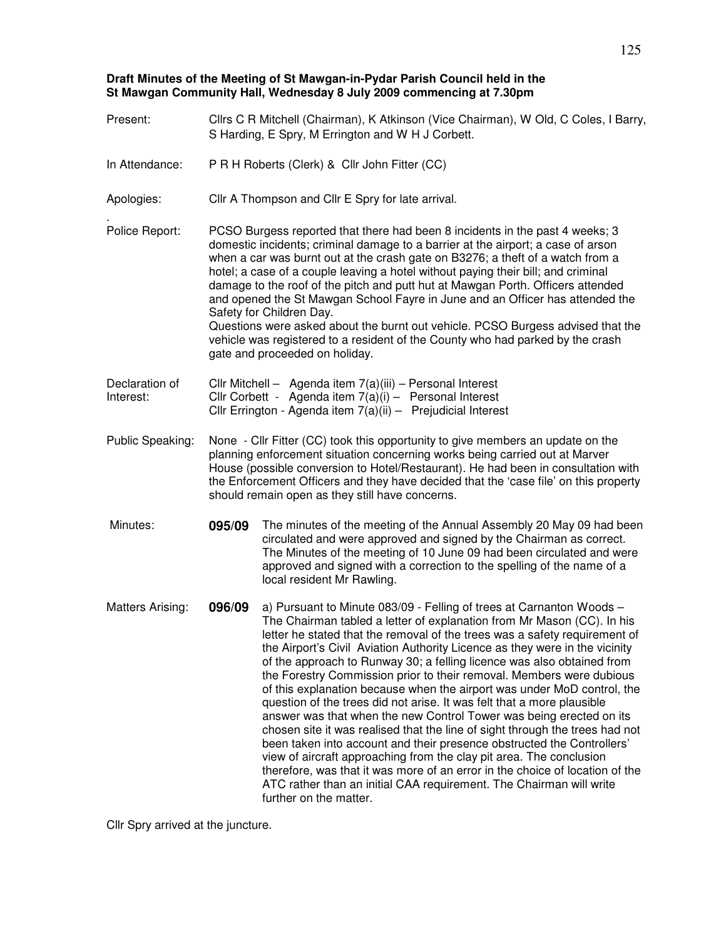## **Draft Minutes of the Meeting of St Mawgan-in-Pydar Parish Council held in the St Mawgan Community Hall, Wednesday 8 July 2009 commencing at 7.30pm**

| Present:                    |                                                                                                                                                                                                                                                                                                                                                                                                                                                                                                                                                                                                                                                                                                              | Cllrs C R Mitchell (Chairman), K Atkinson (Vice Chairman), W Old, C Coles, I Barry,<br>S Harding, E Spry, M Errington and W H J Corbett.                                                                                                                                                                                                                                                                                                                                                                                                                                                                                                                                                                                                                                                                                                                                                                                                                                                                                                                                                                    |  |  |  |
|-----------------------------|--------------------------------------------------------------------------------------------------------------------------------------------------------------------------------------------------------------------------------------------------------------------------------------------------------------------------------------------------------------------------------------------------------------------------------------------------------------------------------------------------------------------------------------------------------------------------------------------------------------------------------------------------------------------------------------------------------------|-------------------------------------------------------------------------------------------------------------------------------------------------------------------------------------------------------------------------------------------------------------------------------------------------------------------------------------------------------------------------------------------------------------------------------------------------------------------------------------------------------------------------------------------------------------------------------------------------------------------------------------------------------------------------------------------------------------------------------------------------------------------------------------------------------------------------------------------------------------------------------------------------------------------------------------------------------------------------------------------------------------------------------------------------------------------------------------------------------------|--|--|--|
| In Attendance:              | P R H Roberts (Clerk) & Cllr John Fitter (CC)                                                                                                                                                                                                                                                                                                                                                                                                                                                                                                                                                                                                                                                                |                                                                                                                                                                                                                                                                                                                                                                                                                                                                                                                                                                                                                                                                                                                                                                                                                                                                                                                                                                                                                                                                                                             |  |  |  |
| Apologies:                  | Cllr A Thompson and Cllr E Spry for late arrival.                                                                                                                                                                                                                                                                                                                                                                                                                                                                                                                                                                                                                                                            |                                                                                                                                                                                                                                                                                                                                                                                                                                                                                                                                                                                                                                                                                                                                                                                                                                                                                                                                                                                                                                                                                                             |  |  |  |
| Police Report:              | PCSO Burgess reported that there had been 8 incidents in the past 4 weeks; 3<br>domestic incidents; criminal damage to a barrier at the airport; a case of arson<br>when a car was burnt out at the crash gate on B3276; a theft of a watch from a<br>hotel; a case of a couple leaving a hotel without paying their bill; and criminal<br>damage to the roof of the pitch and putt hut at Mawgan Porth. Officers attended<br>and opened the St Mawgan School Fayre in June and an Officer has attended the<br>Safety for Children Day.<br>Questions were asked about the burnt out vehicle. PCSO Burgess advised that the<br>vehicle was registered to a resident of the County who had parked by the crash |                                                                                                                                                                                                                                                                                                                                                                                                                                                                                                                                                                                                                                                                                                                                                                                                                                                                                                                                                                                                                                                                                                             |  |  |  |
|                             | gate and proceeded on holiday.                                                                                                                                                                                                                                                                                                                                                                                                                                                                                                                                                                                                                                                                               |                                                                                                                                                                                                                                                                                                                                                                                                                                                                                                                                                                                                                                                                                                                                                                                                                                                                                                                                                                                                                                                                                                             |  |  |  |
| Declaration of<br>Interest: | Cllr Mitchell - Agenda item 7(a)(iii) - Personal Interest<br>Cllr Corbett - Agenda item $7(a)(i)$ - Personal Interest<br>Cllr Errington - Agenda item 7(a)(ii) - Prejudicial Interest                                                                                                                                                                                                                                                                                                                                                                                                                                                                                                                        |                                                                                                                                                                                                                                                                                                                                                                                                                                                                                                                                                                                                                                                                                                                                                                                                                                                                                                                                                                                                                                                                                                             |  |  |  |
| Public Speaking:            | None - Cllr Fitter (CC) took this opportunity to give members an update on the<br>planning enforcement situation concerning works being carried out at Marver<br>House (possible conversion to Hotel/Restaurant). He had been in consultation with<br>the Enforcement Officers and they have decided that the 'case file' on this property<br>should remain open as they still have concerns.                                                                                                                                                                                                                                                                                                                |                                                                                                                                                                                                                                                                                                                                                                                                                                                                                                                                                                                                                                                                                                                                                                                                                                                                                                                                                                                                                                                                                                             |  |  |  |
| Minutes:                    | 095/09                                                                                                                                                                                                                                                                                                                                                                                                                                                                                                                                                                                                                                                                                                       | The minutes of the meeting of the Annual Assembly 20 May 09 had been<br>circulated and were approved and signed by the Chairman as correct.<br>The Minutes of the meeting of 10 June 09 had been circulated and were<br>approved and signed with a correction to the spelling of the name of a<br>local resident Mr Rawling.                                                                                                                                                                                                                                                                                                                                                                                                                                                                                                                                                                                                                                                                                                                                                                                |  |  |  |
| <b>Matters Arising:</b>     | 096/09                                                                                                                                                                                                                                                                                                                                                                                                                                                                                                                                                                                                                                                                                                       | a) Pursuant to Minute 083/09 - Felling of trees at Carnanton Woods -<br>The Chairman tabled a letter of explanation from Mr Mason (CC). In his<br>letter he stated that the removal of the trees was a safety requirement of<br>the Airport's Civil Aviation Authority Licence as they were in the vicinity<br>of the approach to Runway 30; a felling licence was also obtained from<br>the Forestry Commission prior to their removal. Members were dubious<br>of this explanation because when the airport was under MoD control, the<br>question of the trees did not arise. It was felt that a more plausible<br>answer was that when the new Control Tower was being erected on its<br>chosen site it was realised that the line of sight through the trees had not<br>been taken into account and their presence obstructed the Controllers'<br>view of aircraft approaching from the clay pit area. The conclusion<br>therefore, was that it was more of an error in the choice of location of the<br>ATC rather than an initial CAA requirement. The Chairman will write<br>further on the matter. |  |  |  |

Cllr Spry arrived at the juncture.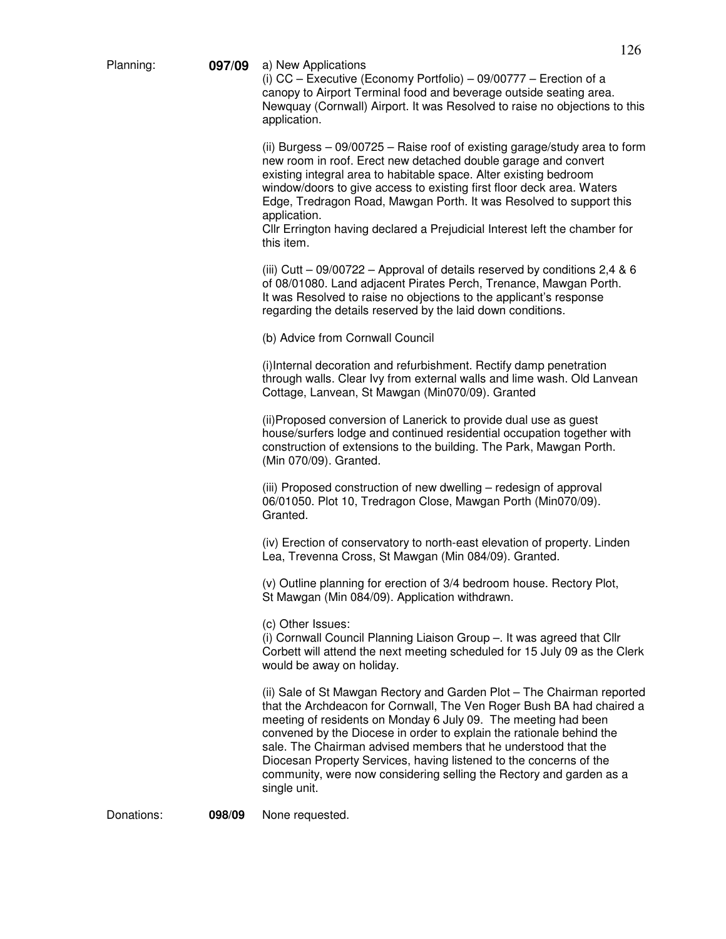Planning: **097/09** a) New Applications

(i) CC – Executive (Economy Portfolio) – 09/00777 – Erection of a canopy to Airport Terminal food and beverage outside seating area. Newquay (Cornwall) Airport. It was Resolved to raise no objections to this application.

(ii) Burgess – 09/00725 – Raise roof of existing garage/study area to form new room in roof. Erect new detached double garage and convert existing integral area to habitable space. Alter existing bedroom window/doors to give access to existing first floor deck area. Waters Edge, Tredragon Road, Mawgan Porth. It was Resolved to support this application.

Cllr Errington having declared a Prejudicial Interest left the chamber for this item.

(iii) Cutt – 09/00722 – Approval of details reserved by conditions 2,4 & 6 of 08/01080. Land adjacent Pirates Perch, Trenance, Mawgan Porth. It was Resolved to raise no objections to the applicant's response regarding the details reserved by the laid down conditions.

(b) Advice from Cornwall Council

(i)Internal decoration and refurbishment. Rectify damp penetration through walls. Clear Ivy from external walls and lime wash. Old Lanvean Cottage, Lanvean, St Mawgan (Min070/09). Granted

(ii)Proposed conversion of Lanerick to provide dual use as guest house/surfers lodge and continued residential occupation together with construction of extensions to the building. The Park, Mawgan Porth. (Min 070/09). Granted.

(iii) Proposed construction of new dwelling – redesign of approval 06/01050. Plot 10, Tredragon Close, Mawgan Porth (Min070/09). Granted.

(iv) Erection of conservatory to north-east elevation of property. Linden Lea, Trevenna Cross, St Mawgan (Min 084/09). Granted.

(v) Outline planning for erection of 3/4 bedroom house. Rectory Plot, St Mawgan (Min 084/09). Application withdrawn.

(c) Other Issues:

(i) Cornwall Council Planning Liaison Group –. It was agreed that Cllr Corbett will attend the next meeting scheduled for 15 July 09 as the Clerk would be away on holiday.

(ii) Sale of St Mawgan Rectory and Garden Plot – The Chairman reported that the Archdeacon for Cornwall, The Ven Roger Bush BA had chaired a meeting of residents on Monday 6 July 09. The meeting had been convened by the Diocese in order to explain the rationale behind the sale. The Chairman advised members that he understood that the Diocesan Property Services, having listened to the concerns of the community, were now considering selling the Rectory and garden as a single unit.

Donations: **098/09** None requested.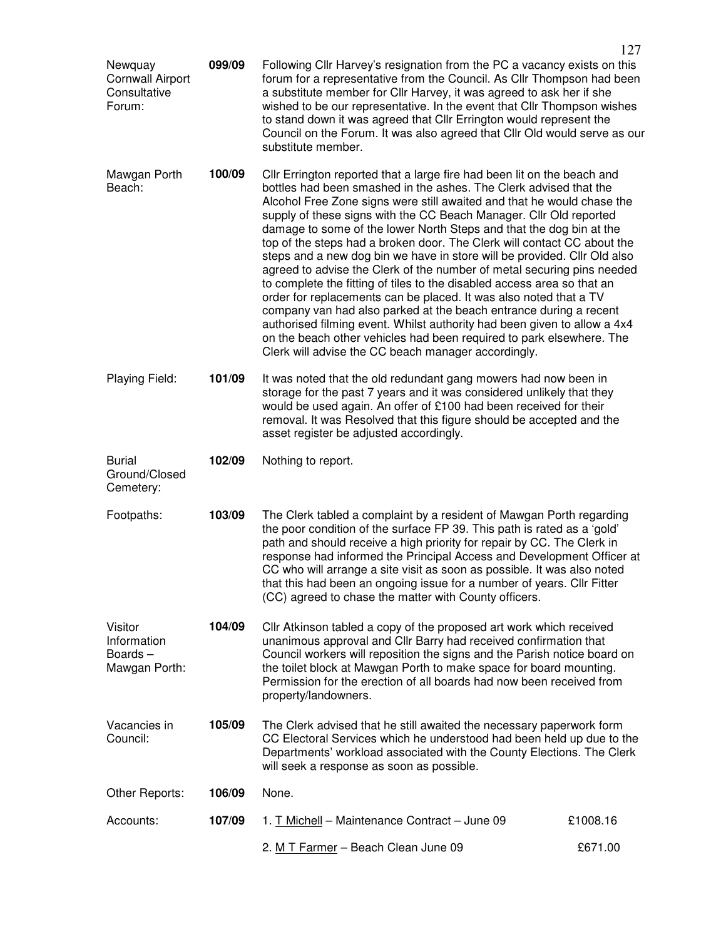|                                                              |        |                                                                                                                                                                                                                                                                                                                                                                                                                                                                                                                                                                                                                                                                                                                                                                                                                                                                                                                                                                                                                                      | 127      |  |
|--------------------------------------------------------------|--------|--------------------------------------------------------------------------------------------------------------------------------------------------------------------------------------------------------------------------------------------------------------------------------------------------------------------------------------------------------------------------------------------------------------------------------------------------------------------------------------------------------------------------------------------------------------------------------------------------------------------------------------------------------------------------------------------------------------------------------------------------------------------------------------------------------------------------------------------------------------------------------------------------------------------------------------------------------------------------------------------------------------------------------------|----------|--|
| Newquay<br><b>Cornwall Airport</b><br>Consultative<br>Forum: | 099/09 | Following Cllr Harvey's resignation from the PC a vacancy exists on this<br>forum for a representative from the Council. As Cllr Thompson had been<br>a substitute member for Cllr Harvey, it was agreed to ask her if she<br>wished to be our representative. In the event that CIIr Thompson wishes<br>to stand down it was agreed that Cllr Errington would represent the<br>Council on the Forum. It was also agreed that Cllr Old would serve as our<br>substitute member.                                                                                                                                                                                                                                                                                                                                                                                                                                                                                                                                                      |          |  |
| Mawgan Porth<br>Beach:                                       | 100/09 | Cllr Errington reported that a large fire had been lit on the beach and<br>bottles had been smashed in the ashes. The Clerk advised that the<br>Alcohol Free Zone signs were still awaited and that he would chase the<br>supply of these signs with the CC Beach Manager. Cllr Old reported<br>damage to some of the lower North Steps and that the dog bin at the<br>top of the steps had a broken door. The Clerk will contact CC about the<br>steps and a new dog bin we have in store will be provided. Cllr Old also<br>agreed to advise the Clerk of the number of metal securing pins needed<br>to complete the fitting of tiles to the disabled access area so that an<br>order for replacements can be placed. It was also noted that a TV<br>company van had also parked at the beach entrance during a recent<br>authorised filming event. Whilst authority had been given to allow a 4x4<br>on the beach other vehicles had been required to park elsewhere. The<br>Clerk will advise the CC beach manager accordingly. |          |  |
| Playing Field:                                               | 101/09 | It was noted that the old redundant gang mowers had now been in<br>storage for the past 7 years and it was considered unlikely that they<br>would be used again. An offer of £100 had been received for their<br>removal. It was Resolved that this figure should be accepted and the<br>asset register be adjusted accordingly.                                                                                                                                                                                                                                                                                                                                                                                                                                                                                                                                                                                                                                                                                                     |          |  |
| <b>Burial</b><br>Ground/Closed<br>Cemetery:                  | 102/09 | Nothing to report.                                                                                                                                                                                                                                                                                                                                                                                                                                                                                                                                                                                                                                                                                                                                                                                                                                                                                                                                                                                                                   |          |  |
| Footpaths:                                                   | 103/09 | The Clerk tabled a complaint by a resident of Mawgan Porth regarding<br>the poor condition of the surface FP 39. This path is rated as a 'gold'<br>path and should receive a high priority for repair by CC. The Clerk in<br>response had informed the Principal Access and Development Officer at<br>CC who will arrange a site visit as soon as possible. It was also noted<br>that this had been an ongoing issue for a number of years. Cllr Fitter<br>(CC) agreed to chase the matter with County officers.                                                                                                                                                                                                                                                                                                                                                                                                                                                                                                                     |          |  |
| Visitor<br>Information<br>Boards-<br>Mawgan Porth:           | 104/09 | Cllr Atkinson tabled a copy of the proposed art work which received<br>unanimous approval and Cllr Barry had received confirmation that<br>Council workers will reposition the signs and the Parish notice board on<br>the toilet block at Mawgan Porth to make space for board mounting.<br>Permission for the erection of all boards had now been received from<br>property/landowners.                                                                                                                                                                                                                                                                                                                                                                                                                                                                                                                                                                                                                                            |          |  |
| Vacancies in<br>Council:                                     | 105/09 | The Clerk advised that he still awaited the necessary paperwork form<br>CC Electoral Services which he understood had been held up due to the<br>Departments' workload associated with the County Elections. The Clerk<br>will seek a response as soon as possible.                                                                                                                                                                                                                                                                                                                                                                                                                                                                                                                                                                                                                                                                                                                                                                  |          |  |
| Other Reports:                                               | 106/09 | None.                                                                                                                                                                                                                                                                                                                                                                                                                                                                                                                                                                                                                                                                                                                                                                                                                                                                                                                                                                                                                                |          |  |
| Accounts:                                                    | 107/09 | 1. T Michell - Maintenance Contract - June 09                                                                                                                                                                                                                                                                                                                                                                                                                                                                                                                                                                                                                                                                                                                                                                                                                                                                                                                                                                                        | £1008.16 |  |
|                                                              |        | 2. M T Farmer - Beach Clean June 09                                                                                                                                                                                                                                                                                                                                                                                                                                                                                                                                                                                                                                                                                                                                                                                                                                                                                                                                                                                                  | £671.00  |  |